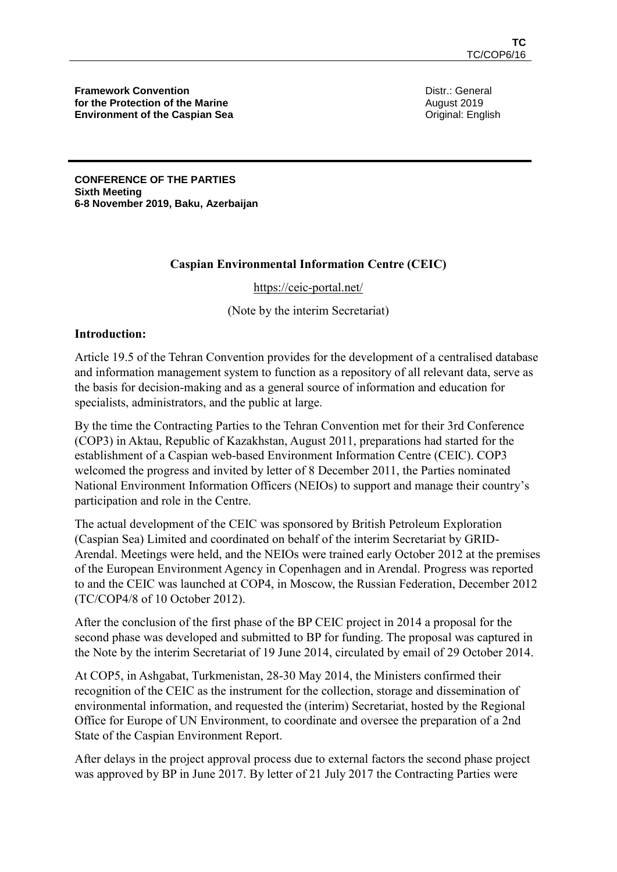**Framework Convention for the Protection of the Marine Environment of the Caspian Sea** Distr.: General August 2019 Original: English

**CONFERENCE OF THE PARTIES Sixth Meeting 6-8 November 2019, Baku, Azerbaijan** 

## **Caspian Environmental Information Centre (CEIC)**

#### <https://ceic-portal.net/>

(Note by the interim Secretariat)

#### **Introduction:**

Article 19.5 of the Tehran Convention provides for the development of a centralised database and information management system to function as a repository of all relevant data, serve as the basis for decision-making and as a general source of information and education for specialists, administrators, and the public at large.

By the time the Contracting Parties to the Tehran Convention met for their 3rd Conference (COP3) in Aktau, Republic of Kazakhstan, August 2011, preparations had started for the establishment of a Caspian web-based Environment Information Centre (CEIC). COP3 welcomed the progress and invited by letter of 8 December 2011, the Parties nominated National Environment Information Officers (NEIOs) to support and manage their country's participation and role in the Centre.

The actual development of the CEIC was sponsored by British Petroleum Exploration (Caspian Sea) Limited and coordinated on behalf of the interim Secretariat by GRID-Arendal. Meetings were held, and the NEIOs were trained early October 2012 at the premises of the European Environment Agency in Copenhagen and in Arendal. Progress was reported to and the CEIC was launched at COP4, in Moscow, the Russian Federation, December 2012 (TC/COP4/8 of 10 October 2012).

After the conclusion of the first phase of the BP CEIC project in 2014 a proposal for the second phase was developed and submitted to BP for funding. The proposal was captured in the Note by the interim Secretariat of 19 June 2014, circulated by email of 29 October 2014.

At COP5, in Ashgabat, Turkmenistan, 28-30 May 2014, the Ministers confirmed their recognition of the CEIC as the instrument for the collection, storage and dissemination of environmental information, and requested the (interim) Secretariat, hosted by the Regional Office for Europe of UN Environment, to coordinate and oversee the preparation of a 2nd State of the Caspian Environment Report.

After delays in the project approval process due to external factors the second phase project was approved by BP in June 2017. By letter of 21 July 2017 the Contracting Parties were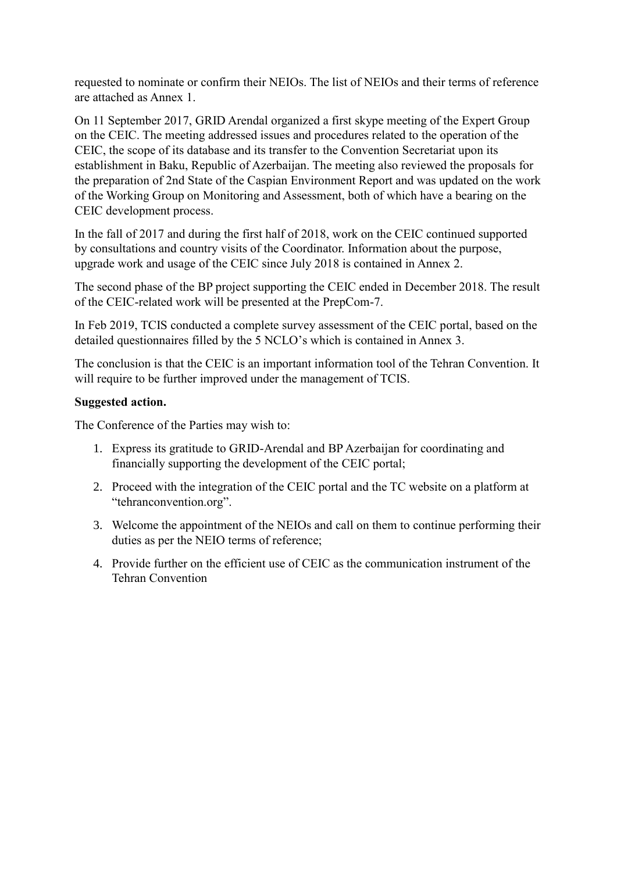requested to nominate or confirm their NEIOs. The list of NEIOs and their terms of reference are attached as Annex 1.

On 11 September 2017, GRID Arendal organized a first skype meeting of the Expert Group on the CEIC. The meeting addressed issues and procedures related to the operation of the CEIC, the scope of its database and its transfer to the Convention Secretariat upon its establishment in Baku, Republic of Azerbaijan. The meeting also reviewed the proposals for the preparation of 2nd State of the Caspian Environment Report and was updated on the work of the Working Group on Monitoring and Assessment, both of which have a bearing on the CEIC development process.

In the fall of 2017 and during the first half of 2018, work on the CEIC continued supported by consultations and country visits of the Coordinator. Information about the purpose, upgrade work and usage of the CEIC since July 2018 is contained in Annex 2.

The second phase of the BP project supporting the CEIC ended in December 2018. The result of the CEIC-related work will be presented at the PrepCom-7.

In Feb 2019, TCIS conducted a complete survey assessment of the CEIC portal, based on the detailed questionnaires filled by the 5 NCLO's which is contained in Annex 3.

The conclusion is that the CEIC is an important information tool of the Tehran Convention. It will require to be further improved under the management of TCIS.

## **Suggested action.**

The Conference of the Parties may wish to:

- 1. Express its gratitude to GRID-Arendal and BP Azerbaijan for coordinating and financially supporting the development of the CEIC portal;
- 2. Proceed with the integration of the CEIC portal and the TC website on a platform at "tehranconvention.org".
- 3. Welcome the appointment of the NEIOs and call on them to continue performing their duties as per the NEIO terms of reference;
- 4. Provide further on the efficient use of CEIC as the communication instrument of the Tehran Convention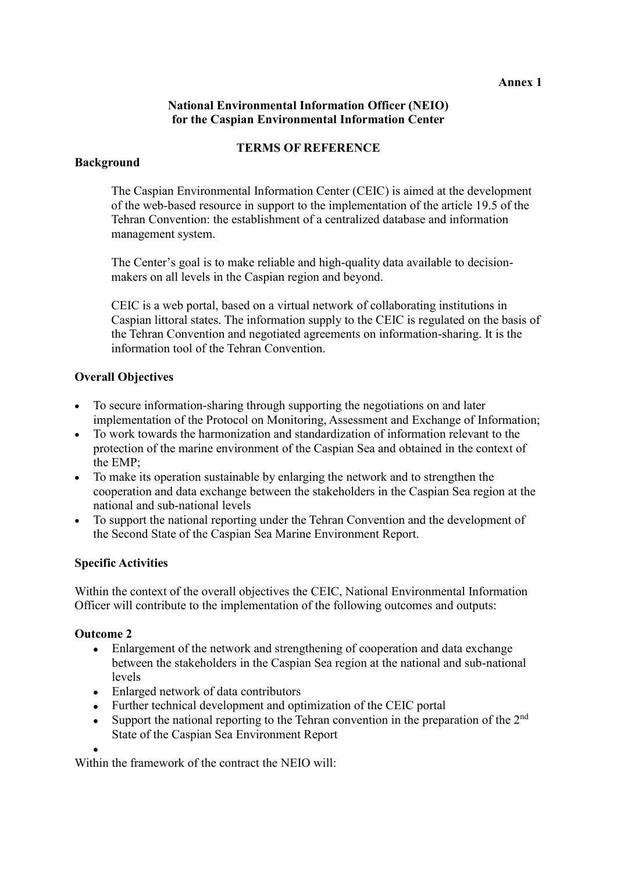#### **Annex 1**

## **National Environmental Information Officer (NEIO) for the Caspian Environmental Information Center**

#### **TERMS OF REFERENCE**

## **Background**

The Caspian Environmental Information Center (CEIC) is aimed at the development of the web-based resource in support to the implementation of the article 19.5 of the Tehran Convention: the establishment of a centralized database and information management system.

The Center's goal is to make reliable and high-quality data available to decisionmakers on all levels in the Caspian region and beyond.

CEIC is a web portal, based on a virtual network of collaborating institutions in Caspian littoral states. The information supply to the CEIC is regulated on the basis of the Tehran Convention and negotiated agreements on information-sharing. It is the information tool of the Tehran Convention.

## **Overall Objectives**

- To secure information-sharing through supporting the negotiations on and later implementation of the Protocol on Monitoring, Assessment and Exchange of Information;
- To work towards the harmonization and standardization of information relevant to the protection of the marine environment of the Caspian Sea and obtained in the context of the EMP;
- To make its operation sustainable by enlarging the network and to strengthen the cooperation and data exchange between the stakeholders in the Caspian Sea region at the national and sub-national levels
- To support the national reporting under the Tehran Convention and the development of the Second State of the Caspian Sea Marine Environment Report.

## **Specific Activities**

Within the context of the overall objectives the CEIC, National Environmental Information Officer will contribute to the implementation of the following outcomes and outputs:

## **Outcome 2**

- Enlargement of the network and strengthening of cooperation and data exchange between the stakeholders in the Caspian Sea region at the national and sub-national levels
- Enlarged network of data contributors
- Further technical development and optimization of the CEIC portal
- Support the national reporting to the Tehran convention in the preparation of the  $2<sup>nd</sup>$ State of the Caspian Sea Environment Report
- •

Within the framework of the contract the NEIO will: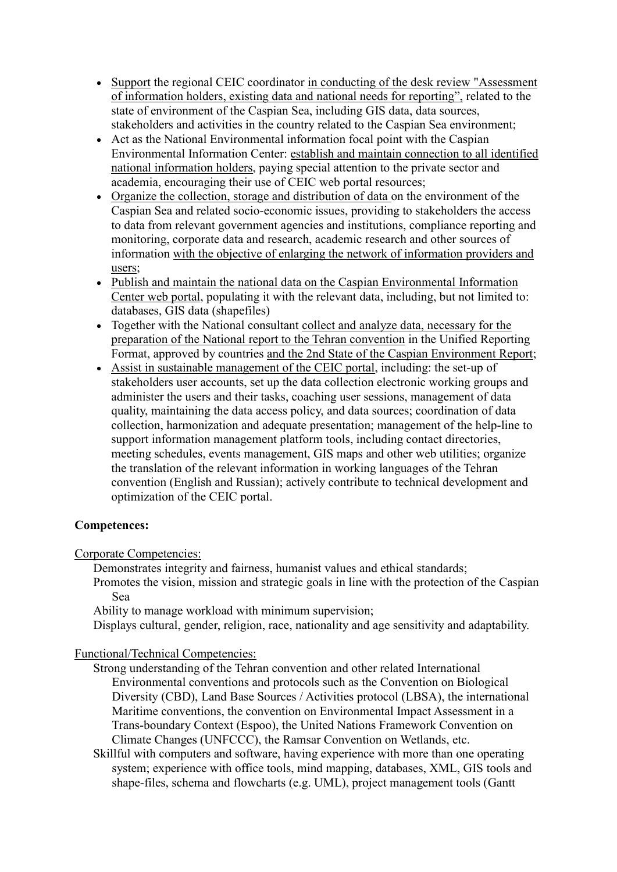- Support the regional CEIC coordinator in conducting of the desk review "Assessment" of information holders, existing data and national needs for reporting", related to the state of environment of the Caspian Sea, including GIS data, data sources, stakeholders and activities in the country related to the Caspian Sea environment;
- Act as the National Environmental information focal point with the Caspian Environmental Information Center: establish and maintain connection to all identified national information holders, paying special attention to the private sector and academia, encouraging their use of CEIC web portal resources;
- Organize the collection, storage and distribution of data on the environment of the Caspian Sea and related socio-economic issues, providing to stakeholders the access to data from relevant government agencies and institutions, compliance reporting and monitoring, corporate data and research, academic research and other sources of information with the objective of enlarging the network of information providers and users;
- Publish and maintain the national data on the Caspian Environmental Information Center web portal, populating it with the relevant data, including, but not limited to: databases, GIS data (shapefiles)
- Together with the National consultant collect and analyze data, necessary for the preparation of the National report to the Tehran convention in the Unified Reporting Format, approved by countries and the 2nd State of the Caspian Environment Report;
- Assist in sustainable management of the CEIC portal, including: the set-up of stakeholders user accounts, set up the data collection electronic working groups and administer the users and their tasks, coaching user sessions, management of data quality, maintaining the data access policy, and data sources; coordination of data collection, harmonization and adequate presentation; management of the help-line to support information management platform tools, including contact directories, meeting schedules, events management, GIS maps and other web utilities; organize the translation of the relevant information in working languages of the Tehran convention (English and Russian); actively contribute to technical development and optimization of the CEIC portal.

## **Competences:**

Corporate Competencies:

Demonstrates integrity and fairness, humanist values and ethical standards;

Promotes the vision, mission and strategic goals in line with the protection of the Caspian Sea

Ability to manage workload with minimum supervision;

Displays cultural, gender, religion, race, nationality and age sensitivity and adaptability.

#### Functional/Technical Competencies:

- Strong understanding of the Tehran convention and other related International Environmental conventions and protocols such as the Convention on Biological Diversity (CBD), Land Base Sources / Activities protocol (LBSA), the international Maritime conventions, the convention on Environmental Impact Assessment in a Trans-boundary Context (Espoo), the United Nations Framework Convention on Climate Changes (UNFCCC), the Ramsar Convention on Wetlands, etc.
- Skillful with computers and software, having experience with more than one operating system; experience with office tools, mind mapping, databases, XML, GIS tools and shape-files, schema and flowcharts (e.g. UML), project management tools (Gantt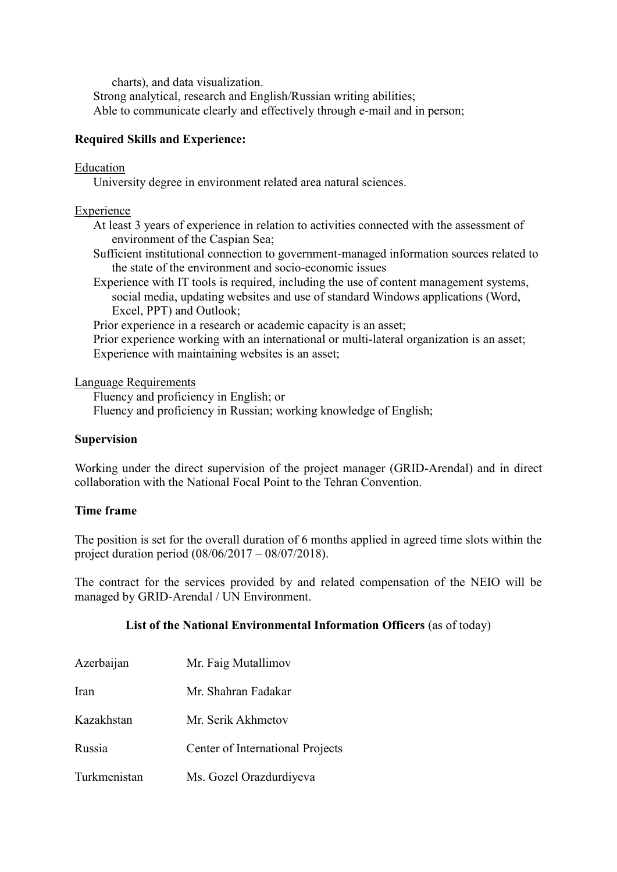charts), and data visualization. Strong analytical, research and English/Russian writing abilities; Able to communicate clearly and effectively through e-mail and in person;

## **Required Skills and Experience:**

#### Education

University degree in environment related area natural sciences.

#### Experience

- At least 3 years of experience in relation to activities connected with the assessment of environment of the Caspian Sea;
- Sufficient institutional connection to government-managed information sources related to the state of the environment and socio-economic issues
- Experience with IT tools is required, including the use of content management systems, social media, updating websites and use of standard Windows applications (Word, Excel, PPT) and Outlook;

Prior experience in a research or academic capacity is an asset;

Prior experience working with an international or multi-lateral organization is an asset; Experience with maintaining websites is an asset;

#### Language Requirements

Fluency and proficiency in English; or

Fluency and proficiency in Russian; working knowledge of English;

#### **Supervision**

Working under the direct supervision of the project manager (GRID-Arendal) and in direct collaboration with the National Focal Point to the Tehran Convention.

#### **Time frame**

The position is set for the overall duration of 6 months applied in agreed time slots within the project duration period (08/06/2017 – 08/07/2018).

The contract for the services provided by and related compensation of the NEIO will be managed by GRID-Arendal / UN Environment.

#### **List of the National Environmental Information Officers** (as of today)

| Azerbaijan   | Mr. Faig Mutallimov              |
|--------------|----------------------------------|
| Iran         | Mr. Shahran Fadakar              |
| Kazakhstan   | Mr. Serik Akhmetov               |
| Russia       | Center of International Projects |
| Turkmenistan | Ms. Gozel Orazdurdiyeva          |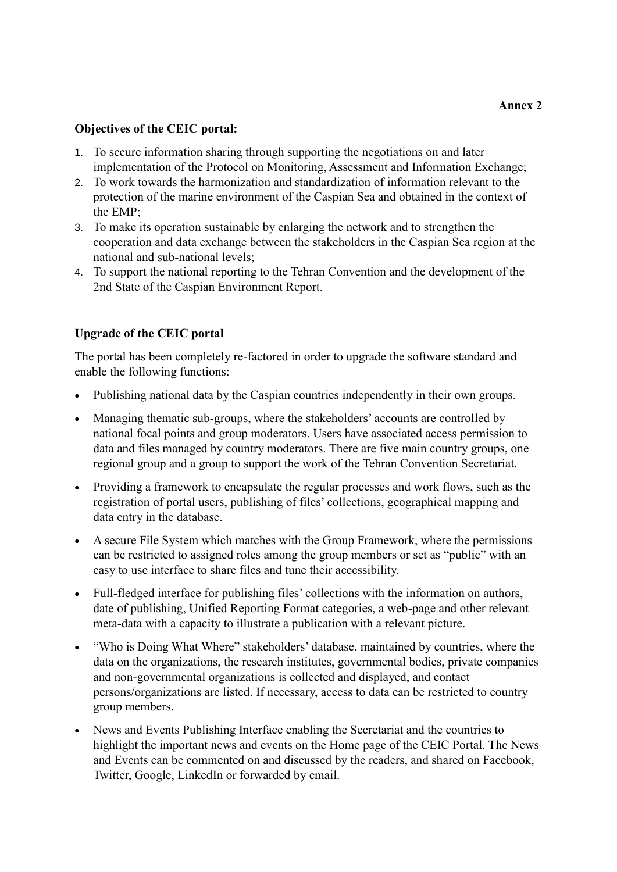## **Objectives of the CEIC portal:**

- 1. To secure information sharing through supporting the negotiations on and later implementation of the Protocol on Monitoring, Assessment and Information Exchange;
- 2. To work towards the harmonization and standardization of information relevant to the protection of the marine environment of the Caspian Sea and obtained in the context of the EMP;
- 3. To make its operation sustainable by enlarging the network and to strengthen the cooperation and data exchange between the stakeholders in the Caspian Sea region at the national and sub-national levels;
- 4. To support the national reporting to the Tehran Convention and the development of the 2nd State of the Caspian Environment Report.

## **Upgrade of the CEIC portal**

The portal has been completely re-factored in order to upgrade the software standard and enable the following functions:

- Publishing national data by the Caspian countries independently in their own groups.
- Managing thematic sub-groups, where the stakeholders' accounts are controlled by national focal points and group moderators. Users have associated access permission to data and files managed by country moderators. There are five main country groups, one regional group and a group to support the work of the Tehran Convention Secretariat.
- Providing a framework to encapsulate the regular processes and work flows, such as the registration of portal users, publishing of files' collections, geographical mapping and data entry in the database.
- A secure File System which matches with the Group Framework, where the permissions can be restricted to assigned roles among the group members or set as "public" with an easy to use interface to share files and tune their accessibility.
- Full-fledged interface for publishing files' collections with the information on authors, date of publishing, Unified Reporting Format categories, a web-page and other relevant meta-data with a capacity to illustrate a publication with a relevant picture.
- "Who is Doing What Where" stakeholders' database, maintained by countries, where the data on the organizations, the research institutes, governmental bodies, private companies and non-governmental organizations is collected and displayed, and contact persons/organizations are listed. If necessary, access to data can be restricted to country group members.
- News and Events Publishing Interface enabling the Secretariat and the countries to highlight the important news and events on the Home page of the CEIC Portal. The News and Events can be commented on and discussed by the readers, and shared on Facebook, Twitter, Google, LinkedIn or forwarded by email.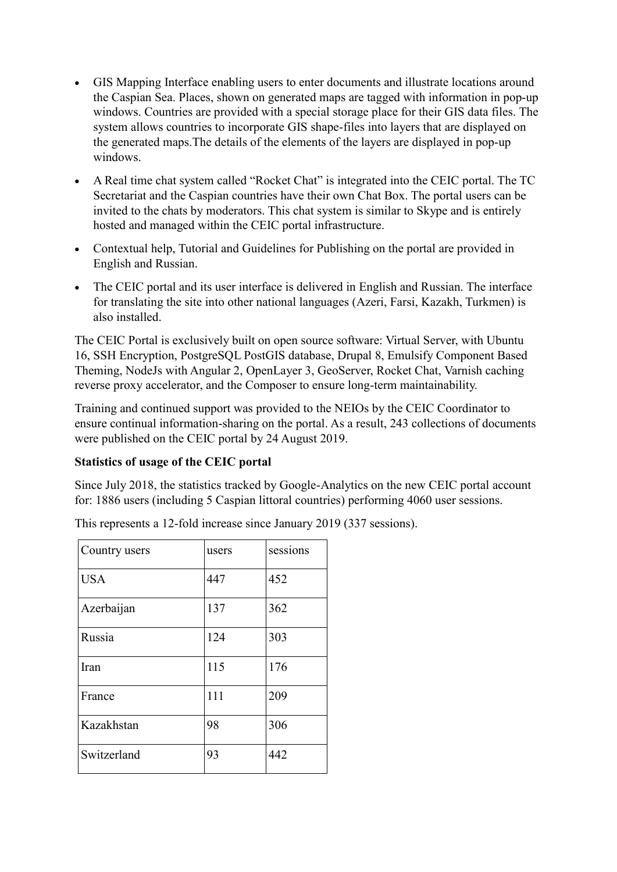- GIS Mapping Interface enabling users to enter documents and illustrate locations around the Caspian Sea. Places, shown on generated maps are tagged with information in pop-up windows. Countries are provided with a special storage place for their GIS data files. The system allows countries to incorporate GIS shape-files into layers that are displayed on the generated maps.The details of the elements of the layers are displayed in pop-up windows.
- A Real time chat system called "Rocket Chat" is integrated into the CEIC portal. The TC Secretariat and the Caspian countries have their own Chat Box. The portal users can be invited to the chats by moderators. This chat system is similar to Skype and is entirely hosted and managed within the CEIC portal infrastructure.
- Contextual help, Tutorial and Guidelines for Publishing on the portal are provided in English and Russian.
- The CEIC portal and its user interface is delivered in English and Russian. The interface for translating the site into other national languages (Azeri, Farsi, Kazakh, Turkmen) is also installed.

The CEIC Portal is exclusively built on open source software: Virtual Server, with Ubuntu 16, SSH Encryption, PostgreSQL PostGIS database, Drupal 8, Emulsify Component Based Theming, NodeJs with Angular 2, OpenLayer 3, GeoServer, Rocket Chat, Varnish caching reverse proxy accelerator, and the Composer to ensure long-term maintainability.

Training and continued support was provided to the NEIOs by the CEIC Coordinator to ensure continual information-sharing on the portal. As a result, 243 collections of documents were published on the CEIC portal by 24 August 2019.

## **Statistics of usage of the CEIC portal**

Since July 2018, the statistics tracked by Google-Analytics on the new CEIC portal account for: 1886 users (including 5 Caspian littoral countries) performing 4060 user sessions.

| Country users | users | sessions |
|---------------|-------|----------|
| <b>USA</b>    | 447   | 452      |
| Azerbaijan    | 137   | 362      |
| Russia        | 124   | 303      |
| Iran          | 115   | 176      |
| France        | 111   | 209      |
| Kazakhstan    | 98    | 306      |
| Switzerland   | 93    | 442      |

This represents a 12-fold increase since January 2019 (337 sessions).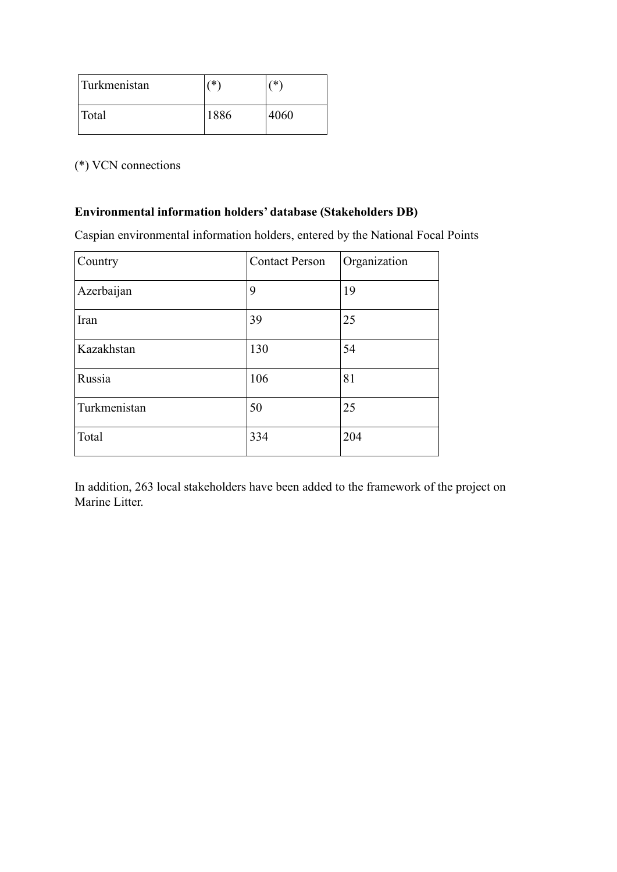| Turkmenistan | ′≭`  | ′*`  |
|--------------|------|------|
| Total        | 1886 | 4060 |

(\*) VCN connections

# **Environmental information holders' database (Stakeholders DB)**

Caspian environmental information holders, entered by the National Focal Points

| Country      | <b>Contact Person</b> | Organization |
|--------------|-----------------------|--------------|
| Azerbaijan   | 9                     | 19           |
| Iran         | 39                    | 25           |
| Kazakhstan   | 130                   | 54           |
| Russia       | 106                   | 81           |
| Turkmenistan | 50                    | 25           |
| Total        | 334                   | 204          |

In addition, 263 local stakeholders have been added to the framework of the project on Marine Litter.